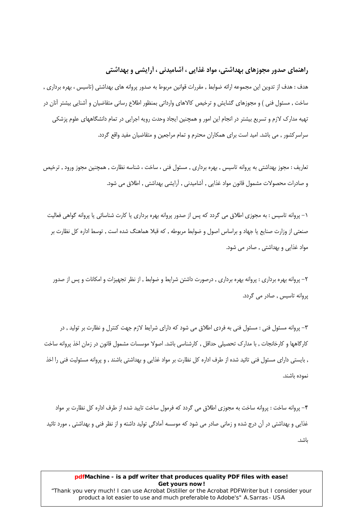# راهنمای صدور مجوزهای بهداشتی، مواد غذایی ، آشامیدنی ، آرایشی و بهداشتی

هدف : هدف از تدوین این مجموعه ارائه ضوابط , مقررات قوانین مربوط به صدور پروانه های بهداشتی (تاسیس ، بهره برداری , ساخت , مسئول فنی ) و مجوزهای گشایش و ترخیص کالاهای وارداتی بمنظور اطلاع رسانی متقاضیان و آشنایی بیشتر آنان در تهیه مدارک لازم و تسریع بیشتر در انجام این امور و همچنین ایجاد وحدت رویه اجرایی در تمام دانشگاههای علوم پزشکی سراسر کشور , می باشد. امید است برای همکاران محترم و تمام مراجعین و متقاضیان مفید واقع گردد.

تعاریف : مجوز بهداشتی به پروانه تاسیس , بهره برداری , مسئول فنی ، ساخت ، شناسه نظارت , همچنین مجوز ورود , ترخیص و صادرات محصولات مشمول قانون مواد غذایی , آشامیدنی , آرایشی بهداشتی , اطلاق می شود.

١– پروانه تاسيس : به مجوزي اطلاق مي گردد كه پس از صدور پروانه بهره برداري يا كارت شناسائي يا پروانه گواهي فعاليت صنعتی از وزارت صنایع یا جهاد و براساس اصول و ضوابط مربوطه , که قبلا هماهنگ شده است , توسط اداره کل نظارت بر مواد غذایی و بهداشتی , صادر می شود.

۲– پروانه بهره برداری : پروانه بهره برداری , درصورت داشتن شرایط و ضوابط , از نظر تجهیزات و امکانات و پس از صدور یروانه تاسیس , صادر می گردد.

۳- پروانه مسئول فنی : مسئول فنی به فردی اطلاق می شود که دارای شرایط لازم جهت کنترل و نظارت بر تولید , در کارگاهها و کارخانجات , با مدارک تحصیلی حداقل , کارشناسی باشد. اصولا موسسات مشمول قانون در زمان اخذ پروانه ساخت , بایستی دارای مسئول فنی تائید شده از طرف اداره کل نظارت بر مواد غذایی و بهداشتی باشند , و پروانه مسئولیت فنی را اخذ نموده باشند.

۴- پروانه ساخت : پروانه ساخت به مجوزي اطلاق مي گردد كه فرمول ساخت تاييد شده از طرف اداره كل نظارت بر مواد غذایی و بهداشتی در آن درج شده و زمانی صادر می شود که موسسه آمادگی تولید داشته و از نظر فنی و بهداشتی , مورد تائید ىاشد.

# pdfMachine - is a pdf writer that produces quality PDF files with ease! Get yours now!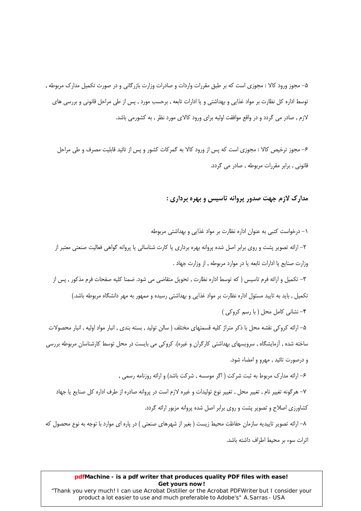۵– مجوز ورود کالا : مجوزی است که بر طبق مقررات واردات و صادرات وزارت بازرگانی و در صورت تکمیل مدارک مربوطه , توسط اداره كل نظارت بر مواد غذايي و بهداشتي و يا ادارات تابعه , برحسب مورد , پس از طي مراحل قانوني و بررسي هاي لازم , صادر می گردد و در واقع موافقت اولیه برای ورود کالای مورد نظر , به کشورمی باشد.

۶– مجوز ترخیص کالا : مجوزی است که پس از ورود کالا به گمرکات کشور و پس از تائید قابلیت مصرف و طی مراحل قانونی , برابر مقررات مربوطه , صادر می گردد.

# مدارک لازم جهت صدور پروانه تاسیس و بهره برداری :

۱– درخواست کتبی به عنوان اداره نظارت بر مواد غذایی و بهداشتی مربوطه ۲– ارائه تصویر پشت و روی برابر اصل شده پروانه بهره برداری یا کارت شناسائی یا پروانه گواهی فعالیت صنعتی معتبر از وزارت صنايع يا ادارات تابعه يا در موارد مربوطه , از وزارت جهاد . ٣– تكميل و ارائه فرم تاسيس ( كه توسط اداره نظارت , تحويل متقاضى مى شود. ضمنا كليه صفحات فرم مذكور , پس از تکمیل , باید به تایید مسئول اداره نظارت بر مواد غذایی و بهداشتی رسیده و ممهور به مهر دانشگاه مربوطه باشد.) ۴– نشانی کامل محل ( با رسم کروکی ) ۵– ارائه کروکی نقشه محل با ذکر متراژ کلیه قسمتهای مختلف ( سالن تولید , بسته بندی , انبار مواد اولیه , انبار محصولات ساخته شده , آزمایشگاه , سرویسهای بهداشتی کارگران و غیره). کروکی می بایست در محل توسط کارشناسان مربوطه بررسی و درصورت تائيد , مهرو و امضاء شود. ۶– ارائه مدارک مربوط به ثبت شرکت ( اگر موسسه , شرکت باشد) و ارائه روزنامه رسمی , ٧– هرگونه تغيير نام , تغيير محل , تغيير نوع توليدات و غيره لازم است در پروانه صادره از طرف اداره كل صنايع يا جهاد کشاورزی اصلاح و تصویر پشت و روی برابر اصل شده پروانه مزبور ارائه گردد. ۸– ارائه تصویر تاییدیه سازمان حفاظت محیط زیست ( بغیر از شهرهای صنعتی ) در پاره ای موارد با توجه به نوع محصول که اثرات سوء بر محيط اطراف داشته باشد.

#### pdfMachine - is a pdf writer that produces quality PDF files with ease! Get yours now!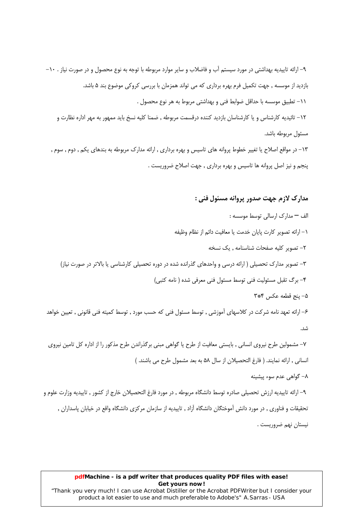۹– ارائه تاییدیه بهداشتی در مورد سیستم آب و فاضلاب و سایر موارد مربوطه با توجه به نوع محصول و در صورت نیاز . ۱۰– بازدید از موسسه , جهت تکمیل فرم بهره برداری که می تواند همزمان با بررسی کروکی موضوع بند ۵ باشد. ١١- تطبيق موسسه با حداقل ضوابط فني و بهداشتي مربوط به هر نوع محصول . ١٢– تائيديه كارشناس و يا كارشناسان بازديد كننده درقسمت مربوطه , ضمنا كليه نسخ بايد ممهور به مهر اداره نظارت و

مسئول مربوطه باشد.

۱۳– در مواقع اصلاح یا تغییر خطوط پروانه های تاسیس و بهره برداری , ارائه مدارک مربوطه به بندهای یکم , دوم , سوم , پنجم و نیز اصل پروانه ها تاسیس و بهره برداری , جهت اصلاح ضروریست .

## مدارک لازم جهت صدور پروانه مسئول فني :

الف - مدارک ارسالی توسط موسسه : ١– ارائه تصوير كارت يايان خدمت يا معافيت دائم از نظام وظيفه ٢- تصوير كليه صفحات شناسنامه , يک نسخه ۳– تصویر مدارک تحصیلی ( ارائه درسی و واحدهای گذرانده شده در دوره تحصیلی کارشناسی یا بالاتر در صورت نیاز) ۴- برگ تقبل مسئولیت فنی توسط مسئول فنی معرفی شده ( نامه کتبی) ۵- ينج قطعه عكس ٣\*٣ ۶– ارائه تعهد نامه شرکت در کلاسهای آموزشی , توسط مسئول فنی که حسب مورد , توسط کمیته فنی قانونی , تعیین خواهد شد. ۷– مشمولین طرح نیروی انسانی , بایستی معافیت از طرح یا گواهی مبنی برگذراندن طرح مذکور را از اداره کل تامین نیروی انسانی , ارائه نمایند. ( فارغ التحصیلان از سال ۵۸ به بعد مشمول طرح می باشند. ) ۸– گواهی عدم سوء پیشینه ۹– ارائه تاییدیه ارزش تحصیلی صادره توسط دانشگاه مربوطه , در مورد فارغ التحصیلان خارج از کشور , تاییدیه وزارت علوم و تحقیقات و فناوری , در مورد دانش آموختگان دانشگاه آزاد , تاییدیه از سازمان مرکزی دانشگاه واقع در خیابان پاسداران , نيستان نهم ضروريست .

#### pdfMachine - is a pdf writer that produces quality PDF files with ease! Get yours now!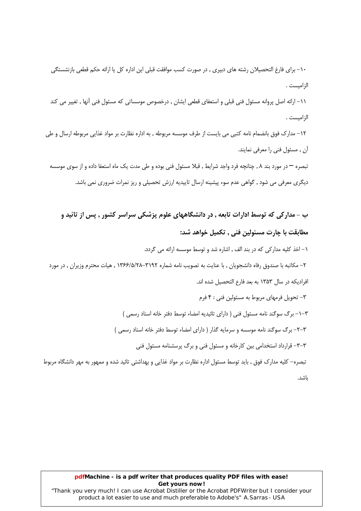۱۰– برای فارغ التحصیلان رشته های دبیری , در صورت کسب موافقت قبلی این اداره کل با ارائه حکم قطعی بازنشستگی الزاميست .

١١– ارائه اصل پروانه مسئول فنی قبلی و استعفای قطعی ایشان , درخصوص موسساتی که مسئول فنی آنها , تغییر می کند الزاميست.

١٢– مدارک فوق بانضمام نامه كتبي مي بايست از طرف موسسه مربوطه , به اداره نظارت بر مواد غذايي مربوطه ارسال و طي آن , مسئول فنی را معرفی نمایند.

تبصره — در مورد بند ۸, چنانچه فرد واجد شرایط , قبلا مسئول فنی بوده و طی مدت یک ماه استعفا داده و از سوی موسسه دیگری معرفی می شود , گواهی عدم سوء پیشینه ارسال تاییدیه ارزش تحصیلی و ریز نمرات ضروری نمی باشد.

ب - مدارکی که توسط ادارات تابعه , در دانشگاههای علوم پزشکی سراسر کشور , پس از تائید و مطابقت با چارت مسئولین فنی , تکمیل خواهد شد: ١- اخذ كليه مداركي كه در بند الف , اشاره شد و توسط موسسه ارائه مي گردد. ۲– مکاتبه با صندوق رفاه دانشجویان , با عنایت به تصویب نامه شماره ۳۱۹۲–۱۳۶۶/۵/۲۸ , هیات محترم وزیران , در مورد افرادیکه در سال ۱۳۵۳ به بعد فارع التحصیل شده اند. ٣- تحویل فرمهای مربوط به مسئولین فنی : ۴ فرم ٣–١- برگ سوگند نامه مسئول فني ( داراي تائيديه امضاء توسط دفتر خانه اسناد رسمي ) ٣-٣- برگ سوگند نامه موسسه و سرمایه گذار ( دارای امضاء توسط دفتر خانه اسناد رسمی ) ۳-۳- قرارداد استخدامی بین کارخانه و مسئول فنی و برگ پرسشنامه مسئول فنی تبصره– کلیه مدارک فوق , باید توسط مسئول اداره نظارت بر مواد غذایی و بهداشتی تائید شده و ممهور به مهر دانشگاه مربوط

ىاشد.

### pdfMachine - is a pdf writer that produces quality PDF files with ease! Get yours now!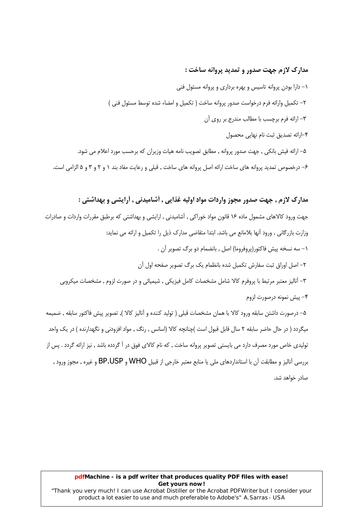# مدارک لازم جهت صدور و تمدید پروانه ساخت :

١- دارا بودن پروانه تاسيس و بهره برداري و يروانه مسئول فني ٢- تكميل وارائه فرم درخواست صدور يروانه ساخت ( تكميل و امضاء شده توسط مسئول فني ) ٣– ارائه فرم برچسب با مطالب مندرج بر روی آن ۴-ارائه تصديق ثبت نام نهايي محصول ۵– ارائه فیش بانکی , جهت صدور پروانه , مطابق تصویب نامه هیات وزیران که برحسب مورد اعلام می شود.

۶– درخصوص تمدید پروانه های ساخت ارائه اصل پروانه های ساخت , قبلی و رعایت مفاد بند ۱ و ۲ و ۳ و ۵ الزامی است.

# مدارک لازم , جهت صدور مجوز واردات مواد اولیه غذایی , أشامیدنی , أرایشی و بهداشتی :

جهت ورود کالاهای مشمول ماده ۱۶ قانون مواد خوراکی , آشامیدنی , ارایشی و بهداشتی که برطبق مقررات واردات و صادرات وزارت بازرگانی , ورود آنها بلامانع می باشد. ابتدا متقاضی مدارک ذیل را تکمیل و ارائه می نماید: ١- سه نسخه پیش فاکتور(پروفروما) اصل , بانضمام دو برگ تصویر آن . ٢– اصل اوراق ثبت سفارش تكميل شده بانظمام يك برگ تصوير صفحه اول آن ٣- أناليز معتبر مرتبط با يروفرم كالا شامل مشخصات كامل فيزيكي , شيميائي و در صورت لزوم , مشخصات ميكروبي ۴– پیش نمونه درصورت لزوم ۵– درصورت داشتن سابقه ورود کالا با همان مشخصات قبلی ( تولید کننده و آنالیز کالا ), تصویر پیش فاکتور سابقه , ضمیمه میگردد ( در حال حاضر سابقه ۲ سال قابل قبول است )چنانچه کالا (اسانس , رنگ , مواد افزودنی و نگهدارنده ) در یک واحد تولیدی خاص مورد مصرف دارد می بایستی تصویر پروانه ساخت , که نام کالای فوق در آ گردده باشد , نیز ارائه گردد . یس از بررسی آنالیز و مطابقت آن با استانداردهای ملی یا منابع معتبر خارجی از قبیل WHO و BP.USP و غیره , مجوز ورود ,

صادر خواهد شد.

#### pdfMachine - is a pdf writer that produces quality PDF files with ease! Get yours now! "Thank you very much! I can use Acrobat Distiller or the Acrobat PDFWriter but I consider your

product a lot easier to use and much preferable to Adobe's" A. Sarras - USA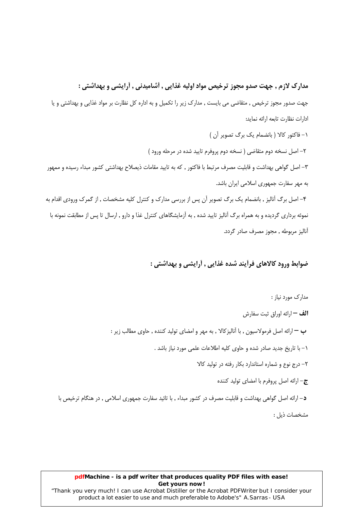# مدارک لازم , جهت صدو مجوز ترخیص مواد اولیه غذایی , أشامیدنی , أرایشی و بهداشتی :

جهت صدور مجوز ترخیص , متقاضی می بایست , مدارک زیر را تکمیل و به اداره کل نظارت بر مواد غذایی و بهداشتی و یا ادارات نظارت تابعه ارائه نمايد:

١- فاكتور كالا ( بانضمام يك برگ تصوير آن ) ٢– اصل نسخه دوم متقاضى ( نسخه دوم پروفرم تاييد شده در مرحله ورود ) ۳– اصل گواهی بهداشت و قابلیت مصرف مرتبط با فاکتور , که به تایید مقامات ذیصلاح بهداشتی کشور مبداء رسیده و ممهور به مهر سفارت جمهوری اسلامی ایران باشد. ۴– اصل برگ آنالیز , بانضمام یک برگ تصویر آن پس از بررسی مدارک و کنترل کلیه مشخصات , از گمرک ورودی اقدام به

نموئه برداری گردیده و به همراه برگ آنالیز تایید شده , به آزمایشگاهای کنترل غذا و دارو , ارسال تا پس از مطابقت نمونه با آناليز مربوطه , مجوز مصرف صادر گردد.

# ضوابط ورود کالاهای فرآیند شده غذایی , أرایشی و بهداشتی :

مدارک مورد نیاز : **الف —** ارائه اوراق ثبت سفارش ب — ارائه اصل فرمولاسیون , با آنالیزکالا , به مهر و امضای تولید کننده , حاوی مطالب زیر : ١- با تاريخ جديد صادر شده و حاوي كليه اطلاعات علمي مورد نياز باشد . ۲- درج نوع و شماره استاندارد بکار رفته در تولید کالا ج- ارائه اصل پروفرم با امضای تولید کننده د– ارائه اصل گواهی بهداشت و قابلیت مصرف در کشور مبداء , با تائید سفارت جمهوری اسلامی , در هنگام ترخیص با مشخصات ذيل :

#### pdfMachine - is a pdf writer that produces quality PDF files with ease! Get yours now!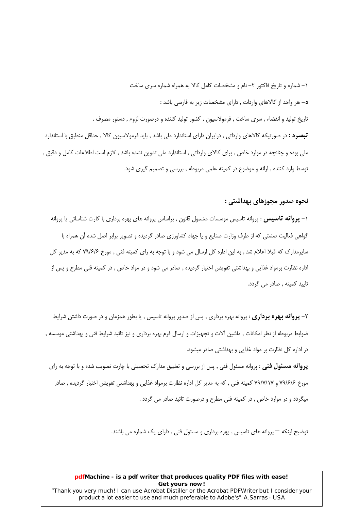۱– شماره و تاریخ فاکتور ۲– نام و مشخصات کامل کالا به همراه شماره سری ساخت ۵– هر واحد از کالاهای واردات , دارای مشخصات زیر به فارسی باشد : تاریخ تولید و انقضاء , سری ساخت , فرمولاسیون , کشور تولید کننده و درصورت لزوم , دستور مصرف . **تبصره :** در صورتیکه کالاهای وارداتی , درایران دارای استاندارد ملی باشد , باید فرمولاسیون کالا , حداقل منطبق با استاندارد ملي بوده و چنانچه در موارد خاص , براي كالاي وارداتي , استاندارد ملي تدوين نشده باشد , لازم است اطلاعات كامل و دقيق , توسط وارد کننده , ارائه و موضوع در کمیته علمی مربوطه , بررسی و تصمیم گیری شود.

## نحوه صدور مجوزهای بهداشتی :

۱– **پروانه تاسیس** : پروانه تاسیس موسسات مشمول قانون , براساس پروانه های بهره برداری با کارت شناسائی یا پروانه گواهی فعالیت صنعتی که از طرف وزارت صنایع و یا جهاد کشاورزی صادر گردیده و تصویر برابر اصل شده آن همراه با سایرمدارک که قبلا اعلام شد , به این اداره کل ارسال می شود و با توجه به رای کمیته فنی , مورخ ۷۹/۶/۶ که به مدیر کل اداره نظارت برمواد غذایی و بهداشتی تفویض اختیار گردیده , صادر می شود و در مواد خاص , در کمیته فنی مطرح و پس از تاييد كميته , صادر مي گردد.

۲– **پروانه بهره برداری** : پروانه بهره برداری , پس از صدور پروانه تاسیس , یا بطور همزمان و در صورت داشتن شرایط ضوابط مربوطه از نظر امکانات , ماشین آلات و تجهیزات و ارسال فرم بهره برداری و نیز تائید شرایط فنی و بهداشتی موسسه , در اداره کل نظارت بر مواد غذایی و بهداشتی صادر میشود.

**پروانه مسئول فنی** : پروانه مسئول فنی , پس از بررسی و تطبیق مدارک تحصیلی با چارت تصویب شده و با توجه به رای مورخ ۷۹/۶/۶ و ۷۹/۷/۱۷ کمیته فنی , که به مدیر کل اداره نظارت برمواد غذایی و بهداشتی تفویض اختیار گردیده , صادر میگردد و در موارد خاص , در کمیته فنی مطرح و درصورت تائید صادر می گردد .

توضیح اینکه — پروانه های تاسیس , بهره برداری و مسئول فنی , دارای یک شماره می باشند.

#### pdfMachine - is a pdf writer that produces quality PDF files with ease! Get yours now!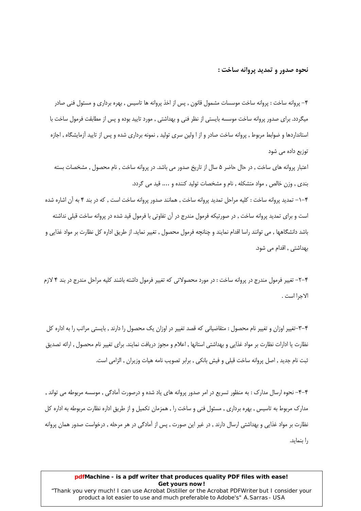#### نحوه صدور و تمدید پروانه ساخت :

۴– پروانه ساخت : پروانه ساخت موسسات مشمول قانون , پس از اخذ پروانه ها تاسیس , بهره برداری و مسئول فنی صادر میگردد. برای صدور پروانه ساخت موسسه بایستی از نظر فنی و بهداشتی , مورد تایید بوده و پس از مطابقت فرمول ساخت با استانداردها و ضوابط مربوط , پروانه ساخت صادر و از ا ولین سری تولید , نمونه برداری شده و پس از تایید آزمایشگاه , اجازه توزیع داده می شود

اعتبار پروانه های ساخت , در حال حاضر ۵ سال از تاریخ صدور می باشد. در پروانه ساخت , نام محصول , مشخصات بسته بندی , وزن خالص , مواد متشکله , نام و مشخصات تولید کننده و .... قید می گردد.

۰۴–۱– تمدید پروانه ساخت : کلیه مراحل تمدید پروانه ساخت , همانند صدور پروانه ساخت است , که در بند ۴ به آن اشاره شده است و برای تمدید پروانه ساخت , در صورتیکه فرمول مندرج در آن تفاوتی با فرمول قید شده در پروانه ساخت قبلی نداشته باشد دانشگاهها , می توانند راسا اقدام نمایند و چنانچه فرمول محصول , تغییر نماید. از طریق اداره کل نظارت بر مواد غذایی و بهداشتی , اقدام می شود.

۴–۲– تغییر فرمول مندرج در پروانه ساخت : در مورد محصولاتی که تغییر فرمول داشته باشند کلیه مراحل مندرج در بند ۴ لازم الاجرا است .

۴–۳–تغییر اوزان و تغییر نام محصول : متقاضیانی که قصد تغییر در اوزان یک محصول را دارند , بایستی مراتب را به اداره کل نظارت یا ادارات نظارت بر مواد غذایی و بهداشتی استانها , اعلام و مجوز دریافت نمایند. برای تغییر نام محصول , ارائه تصدیق ثبت نام جديد , اصل پروانه ساخت قبلي و فيش بانكي , برابر تصويب نامه هيات وزيران , الزامي است.

۴–۴– نحوه ارسال مدارک : به منظور تسریع در امر صدور پروانه های یاد شده و درصورت آمادگی , موسسه مربوطه می تواند , مدارک مربوط به تاسیس , بهره برداری , مسئول فنی و ساخت را , همزمان تکمیل و از طریق اداره نظارت مربوطه به اداره کل نظارت بر مواد غذایی و بهداشتی ارسال دارند , در غیر این صورت , پس از آمادگی در هر مرحله , درخواست صدور همان پروانه را بنماید.

## pdfMachine - is a pdf writer that produces quality PDF files with ease! Get yours now!